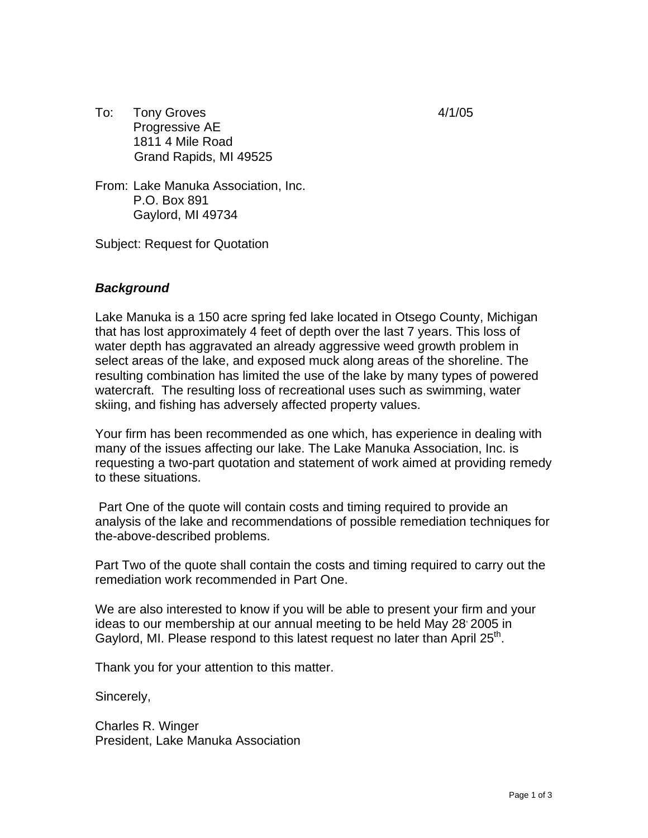- To: Tony Groves 4/1/05 Progressive AE 1811 4 Mile Road Grand Rapids, MI 49525
- From: Lake Manuka Association, Inc. P.O. Box 891 Gaylord, MI 49734

Subject: Request for Quotation

## *Background*

Lake Manuka is a 150 acre spring fed lake located in Otsego County, Michigan that has lost approximately 4 feet of depth over the last 7 years. This loss of water depth has aggravated an already aggressive weed growth problem in select areas of the lake, and exposed muck along areas of the shoreline. The resulting combination has limited the use of the lake by many types of powered watercraft. The resulting loss of recreational uses such as swimming, water skiing, and fishing has adversely affected property values.

Your firm has been recommended as one which, has experience in dealing with many of the issues affecting our lake. The Lake Manuka Association, Inc. is requesting a two-part quotation and statement of work aimed at providing remedy to these situations.

 Part One of the quote will contain costs and timing required to provide an analysis of the lake and recommendations of possible remediation techniques for the-above-described problems.

Part Two of the quote shall contain the costs and timing required to carry out the remediation work recommended in Part One.

We are also interested to know if you will be able to present your firm and your ideas to our membership at our annual meeting to be held May 28 2005 in Gaylord, MI. Please respond to this latest request no later than April  $25<sup>m</sup>$ .

Thank you for your attention to this matter.

Sincerely,

Charles R. Winger President, Lake Manuka Association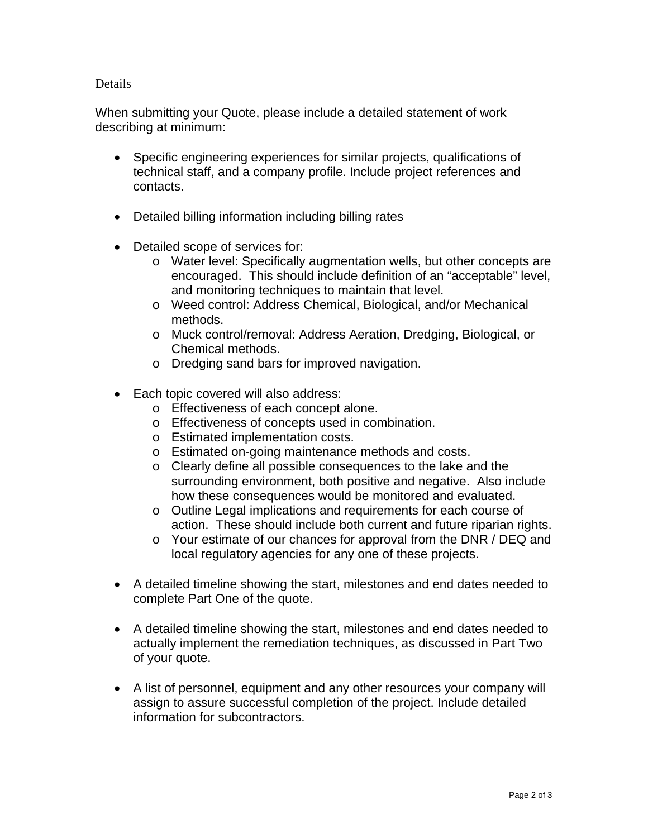## Details

When submitting your Quote, please include a detailed statement of work describing at minimum:

- Specific engineering experiences for similar projects, qualifications of technical staff, and a company profile. Include project references and contacts.
- Detailed billing information including billing rates
- Detailed scope of services for:
	- o Water level: Specifically augmentation wells, but other concepts are encouraged. This should include definition of an "acceptable" level, and monitoring techniques to maintain that level.
	- o Weed control: Address Chemical, Biological, and/or Mechanical methods.
	- o Muck control/removal: Address Aeration, Dredging, Biological, or Chemical methods.
	- o Dredging sand bars for improved navigation.
- Each topic covered will also address:
	- o Effectiveness of each concept alone.
	- o Effectiveness of concepts used in combination.
	- o Estimated implementation costs.
	- o Estimated on-going maintenance methods and costs.
	- o Clearly define all possible consequences to the lake and the surrounding environment, both positive and negative. Also include how these consequences would be monitored and evaluated.
	- o Outline Legal implications and requirements for each course of action. These should include both current and future riparian rights.
	- o Your estimate of our chances for approval from the DNR / DEQ and local regulatory agencies for any one of these projects.
- A detailed timeline showing the start, milestones and end dates needed to complete Part One of the quote.
- A detailed timeline showing the start, milestones and end dates needed to actually implement the remediation techniques, as discussed in Part Two of your quote.
- A list of personnel, equipment and any other resources your company will assign to assure successful completion of the project. Include detailed information for subcontractors.